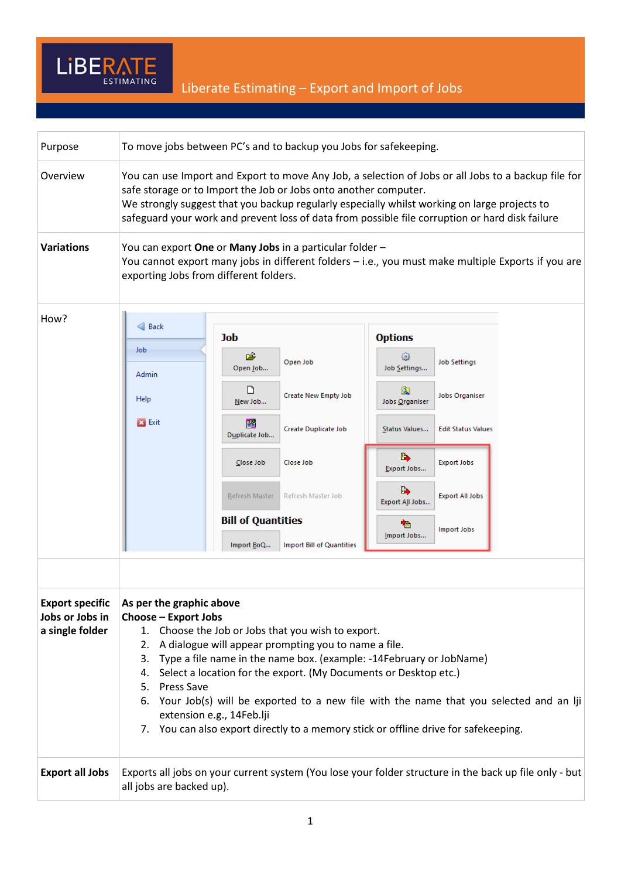

| Purpose                                                      | To move jobs between PC's and to backup you Jobs for safekeeping.                                                                                                                                                                                                                                                                                                                                                                                                                                                                                         |                                         |                           |                            |                           |  |
|--------------------------------------------------------------|-----------------------------------------------------------------------------------------------------------------------------------------------------------------------------------------------------------------------------------------------------------------------------------------------------------------------------------------------------------------------------------------------------------------------------------------------------------------------------------------------------------------------------------------------------------|-----------------------------------------|---------------------------|----------------------------|---------------------------|--|
| Overview                                                     | You can use Import and Export to move Any Job, a selection of Jobs or all Jobs to a backup file for<br>safe storage or to Import the Job or Jobs onto another computer.<br>We strongly suggest that you backup regularly especially whilst working on large projects to<br>safeguard your work and prevent loss of data from possible file corruption or hard disk failure                                                                                                                                                                                |                                         |                           |                            |                           |  |
| <b>Variations</b>                                            | You can export One or Many Jobs in a particular folder -<br>You cannot export many jobs in different folders - i.e., you must make multiple Exports if you are<br>exporting Jobs from different folders.                                                                                                                                                                                                                                                                                                                                                  |                                         |                           |                            |                           |  |
| How?                                                         | $\triangleleft$ Back                                                                                                                                                                                                                                                                                                                                                                                                                                                                                                                                      | Job                                     |                           | <b>Options</b>             |                           |  |
|                                                              | Job<br>Admin                                                                                                                                                                                                                                                                                                                                                                                                                                                                                                                                              | è<br>Open Job                           | Open Job                  | 505<br>Job Settings        | <b>Job Settings</b>       |  |
|                                                              | Help                                                                                                                                                                                                                                                                                                                                                                                                                                                                                                                                                      | ט<br>New Job                            | Create New Empty Job      | Q<br><b>Jobs Organiser</b> | <b>Jobs Organiser</b>     |  |
|                                                              | <b>23</b> Exit                                                                                                                                                                                                                                                                                                                                                                                                                                                                                                                                            | 窜<br>Duplicate Job                      | Create Duplicate Job      | Status Values              | <b>Edit Status Values</b> |  |
|                                                              |                                                                                                                                                                                                                                                                                                                                                                                                                                                                                                                                                           | Close Job                               | Close Job                 | B)<br>Export Jobs          | <b>Export Jobs</b>        |  |
|                                                              |                                                                                                                                                                                                                                                                                                                                                                                                                                                                                                                                                           | Refresh Master                          | Refresh Master Job        | Ŀ,<br>Export All Jobs      | <b>Export All Jobs</b>    |  |
|                                                              |                                                                                                                                                                                                                                                                                                                                                                                                                                                                                                                                                           | <b>Bill of Quantities</b><br>Import BoQ | Import Bill of Quantities | 嚙<br>Import Jobs           | Import Jobs               |  |
|                                                              |                                                                                                                                                                                                                                                                                                                                                                                                                                                                                                                                                           |                                         |                           |                            |                           |  |
| <b>Export specific</b><br>Jobs or Jobs in<br>a single folder | As per the graphic above<br>Choose - Export Jobs<br>1. Choose the Job or Jobs that you wish to export.<br>A dialogue will appear prompting you to name a file.<br>2.<br>3. Type a file name in the name box. (example: -14February or JobName)<br>Select a location for the export. (My Documents or Desktop etc.)<br>4.<br>5. Press Save<br>6. Your Job(s) will be exported to a new file with the name that you selected and an lji<br>extension e.g., 14Feb.lji<br>7. You can also export directly to a memory stick or offline drive for safekeeping. |                                         |                           |                            |                           |  |
| <b>Export all Jobs</b>                                       | Exports all jobs on your current system (You lose your folder structure in the back up file only - but<br>all jobs are backed up).                                                                                                                                                                                                                                                                                                                                                                                                                        |                                         |                           |                            |                           |  |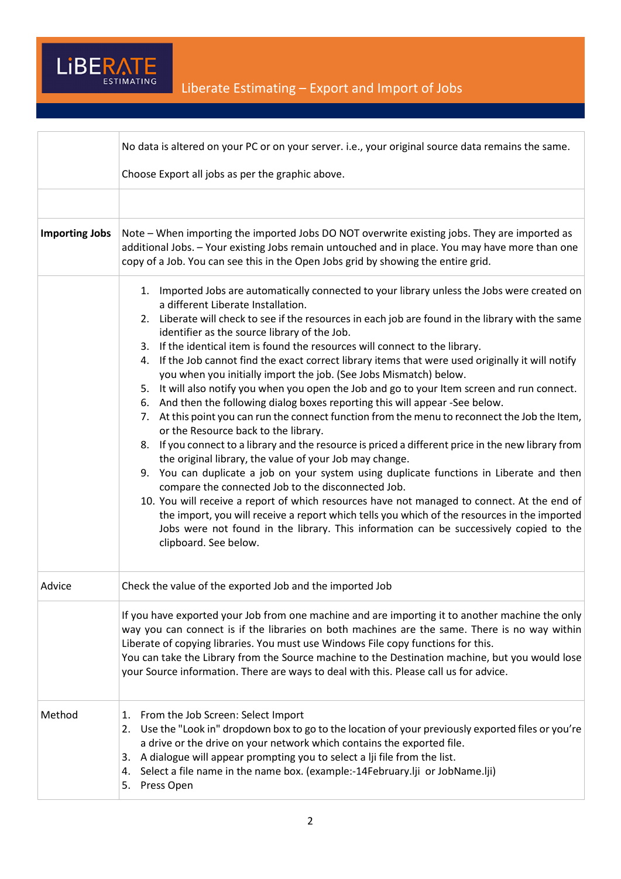

|                       | No data is altered on your PC or on your server. i.e., your original source data remains the same.                                                                                                                                                                                                                                                                                                                                                                                                                                                                                                                                                                                                                                                                                                                                                                                                                                                                                                                                                                                                                                                                                                                                                                                                                                                                                                                                                                                                                              |
|-----------------------|---------------------------------------------------------------------------------------------------------------------------------------------------------------------------------------------------------------------------------------------------------------------------------------------------------------------------------------------------------------------------------------------------------------------------------------------------------------------------------------------------------------------------------------------------------------------------------------------------------------------------------------------------------------------------------------------------------------------------------------------------------------------------------------------------------------------------------------------------------------------------------------------------------------------------------------------------------------------------------------------------------------------------------------------------------------------------------------------------------------------------------------------------------------------------------------------------------------------------------------------------------------------------------------------------------------------------------------------------------------------------------------------------------------------------------------------------------------------------------------------------------------------------------|
|                       | Choose Export all jobs as per the graphic above.                                                                                                                                                                                                                                                                                                                                                                                                                                                                                                                                                                                                                                                                                                                                                                                                                                                                                                                                                                                                                                                                                                                                                                                                                                                                                                                                                                                                                                                                                |
|                       |                                                                                                                                                                                                                                                                                                                                                                                                                                                                                                                                                                                                                                                                                                                                                                                                                                                                                                                                                                                                                                                                                                                                                                                                                                                                                                                                                                                                                                                                                                                                 |
| <b>Importing Jobs</b> | Note – When importing the imported Jobs DO NOT overwrite existing jobs. They are imported as<br>additional Jobs. - Your existing Jobs remain untouched and in place. You may have more than one<br>copy of a Job. You can see this in the Open Jobs grid by showing the entire grid.                                                                                                                                                                                                                                                                                                                                                                                                                                                                                                                                                                                                                                                                                                                                                                                                                                                                                                                                                                                                                                                                                                                                                                                                                                            |
|                       | Imported Jobs are automatically connected to your library unless the Jobs were created on<br>1.<br>a different Liberate Installation.<br>2. Liberate will check to see if the resources in each job are found in the library with the same<br>identifier as the source library of the Job.<br>3. If the identical item is found the resources will connect to the library.<br>If the Job cannot find the exact correct library items that were used originally it will notify<br>4.<br>you when you initially import the job. (See Jobs Mismatch) below.<br>5. It will also notify you when you open the Job and go to your Item screen and run connect.<br>And then the following dialog boxes reporting this will appear -See below.<br>6.<br>At this point you can run the connect function from the menu to reconnect the Job the Item,<br>7.<br>or the Resource back to the library.<br>8. If you connect to a library and the resource is priced a different price in the new library from<br>the original library, the value of your Job may change.<br>9. You can duplicate a job on your system using duplicate functions in Liberate and then<br>compare the connected Job to the disconnected Job.<br>10. You will receive a report of which resources have not managed to connect. At the end of<br>the import, you will receive a report which tells you which of the resources in the imported<br>Jobs were not found in the library. This information can be successively copied to the<br>clipboard. See below. |
| Advice                | Check the value of the exported Job and the imported Job                                                                                                                                                                                                                                                                                                                                                                                                                                                                                                                                                                                                                                                                                                                                                                                                                                                                                                                                                                                                                                                                                                                                                                                                                                                                                                                                                                                                                                                                        |
|                       | If you have exported your Job from one machine and are importing it to another machine the only<br>way you can connect is if the libraries on both machines are the same. There is no way within<br>Liberate of copying libraries. You must use Windows File copy functions for this.<br>You can take the Library from the Source machine to the Destination machine, but you would lose<br>your Source information. There are ways to deal with this. Please call us for advice.                                                                                                                                                                                                                                                                                                                                                                                                                                                                                                                                                                                                                                                                                                                                                                                                                                                                                                                                                                                                                                               |
| Method                | From the Job Screen: Select Import<br>1.<br>2. Use the "Look in" dropdown box to go to the location of your previously exported files or you're<br>a drive or the drive on your network which contains the exported file.<br>A dialogue will appear prompting you to select a lji file from the list.<br>3.<br>Select a file name in the name box. (example:-14February.lji or JobName.lji)<br>4.<br>Press Open<br>5.                                                                                                                                                                                                                                                                                                                                                                                                                                                                                                                                                                                                                                                                                                                                                                                                                                                                                                                                                                                                                                                                                                           |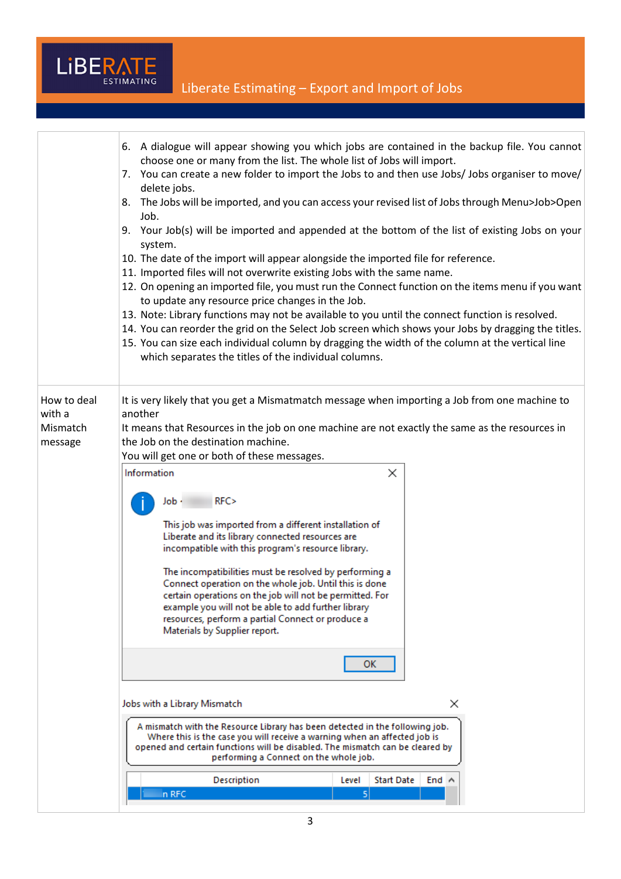

|                                              | 6. A dialogue will appear showing you which jobs are contained in the backup file. You cannot<br>choose one or many from the list. The whole list of Jobs will import.<br>7. You can create a new folder to import the Jobs to and then use Jobs/ Jobs organiser to move/<br>delete jobs.<br>The Jobs will be imported, and you can access your revised list of Jobs through Menu>Job>Open<br>8.<br>Job.<br>9. Your Job(s) will be imported and appended at the bottom of the list of existing Jobs on your<br>system.<br>10. The date of the import will appear alongside the imported file for reference.<br>11. Imported files will not overwrite existing Jobs with the same name.<br>12. On opening an imported file, you must run the Connect function on the items menu if you want<br>to update any resource price changes in the Job.<br>13. Note: Library functions may not be available to you until the connect function is resolved.<br>14. You can reorder the grid on the Select Job screen which shows your Jobs by dragging the titles.<br>15. You can size each individual column by dragging the width of the column at the vertical line<br>which separates the titles of the individual columns. |  |  |  |  |  |
|----------------------------------------------|-----------------------------------------------------------------------------------------------------------------------------------------------------------------------------------------------------------------------------------------------------------------------------------------------------------------------------------------------------------------------------------------------------------------------------------------------------------------------------------------------------------------------------------------------------------------------------------------------------------------------------------------------------------------------------------------------------------------------------------------------------------------------------------------------------------------------------------------------------------------------------------------------------------------------------------------------------------------------------------------------------------------------------------------------------------------------------------------------------------------------------------------------------------------------------------------------------------------------|--|--|--|--|--|
| How to deal<br>with a<br>Mismatch<br>message | It is very likely that you get a Mismatmatch message when importing a Job from one machine to<br>another<br>It means that Resources in the job on one machine are not exactly the same as the resources in<br>the Job on the destination machine.<br>You will get one or both of these messages.<br>Information<br>×<br>RFC><br>Job -<br>This job was imported from a different installation of<br>Liberate and its library connected resources are<br>incompatible with this program's resource library.<br>The incompatibilities must be resolved by performing a<br>Connect operation on the whole job. Until this is done<br>certain operations on the job will not be permitted. For<br>example you will not be able to add further library<br>resources, perform a partial Connect or produce a<br>Materials by Supplier report.<br>ОΚ                                                                                                                                                                                                                                                                                                                                                                          |  |  |  |  |  |
|                                              | Jobs with a Library Mismatch<br>×<br>A mismatch with the Resource Library has been detected in the following job.                                                                                                                                                                                                                                                                                                                                                                                                                                                                                                                                                                                                                                                                                                                                                                                                                                                                                                                                                                                                                                                                                                     |  |  |  |  |  |
|                                              | Where this is the case you will receive a warning when an affected job is<br>opened and certain functions will be disabled. The mismatch can be cleared by<br>performing a Connect on the whole job.                                                                                                                                                                                                                                                                                                                                                                                                                                                                                                                                                                                                                                                                                                                                                                                                                                                                                                                                                                                                                  |  |  |  |  |  |
|                                              | Description<br><b>Start Date</b><br>Level<br>End $\land$                                                                                                                                                                                                                                                                                                                                                                                                                                                                                                                                                                                                                                                                                                                                                                                                                                                                                                                                                                                                                                                                                                                                                              |  |  |  |  |  |
|                                              | n RFC<br>5                                                                                                                                                                                                                                                                                                                                                                                                                                                                                                                                                                                                                                                                                                                                                                                                                                                                                                                                                                                                                                                                                                                                                                                                            |  |  |  |  |  |